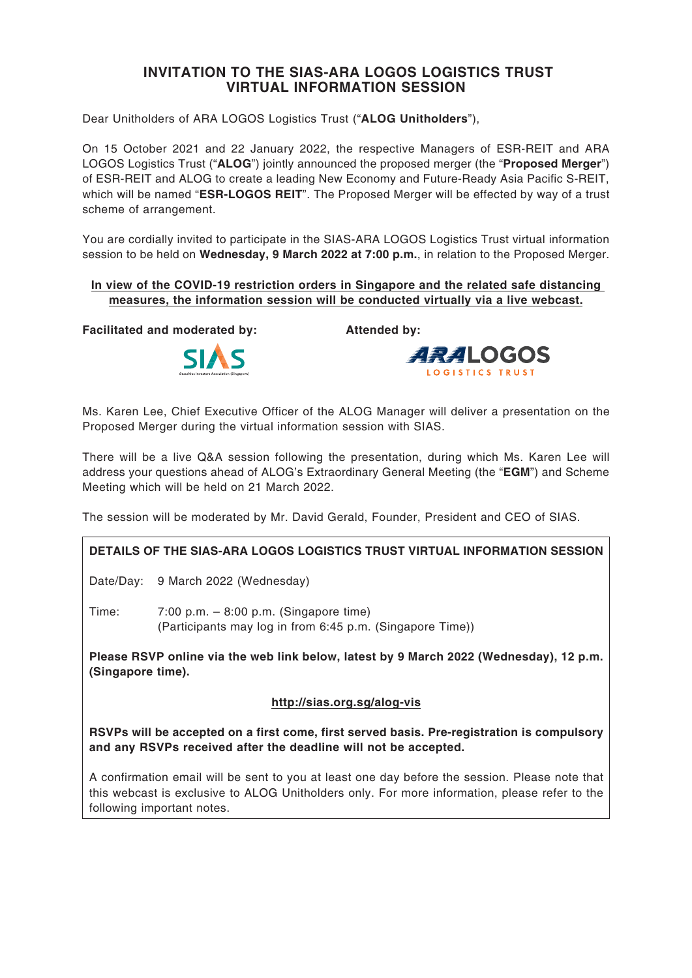# **INVITATION TO THE SIAS-ARA LOGOS LOGISTICS TRUST VIRTUAL INFORMATION SESSION**

Dear Unitholders of ARA LOGOS Logistics Trust ("**ALOG Unitholders**"),

On 15 October 2021 and 22 January 2022, the respective Managers of ESR-REIT and ARA LOGOS Logistics Trust ("**ALOG**") jointly announced the proposed merger (the "**Proposed Merger**") of ESR-REIT and ALOG to create a leading New Economy and Future-Ready Asia Pacific S-REIT, which will be named "**ESR-LOGOS REIT**". The Proposed Merger will be effected by way of a trust scheme of arrangement.

You are cordially invited to participate in the SIAS-ARA LOGOS Logistics Trust virtual information session to be held on **Wednesday, 9 March 2022 at 7:00 p.m.**, in relation to the Proposed Merger.

#### **In view of the COVID-19 restriction orders in Singapore and the related safe distancing measures, the information session will be conducted virtually via a live webcast.**

**Facilitated and moderated by: Attended by:**



**ARALOGOS** LOGISTICS TRUST

Ms. Karen Lee, Chief Executive Officer of the ALOG Manager will deliver a presentation on the Proposed Merger during the virtual information session with SIAS.

There will be a live Q&A session following the presentation, during which Ms. Karen Lee will address your questions ahead of ALOG's Extraordinary General Meeting (the "**EGM**") and Scheme Meeting which will be held on 21 March 2022.

The session will be moderated by Mr. David Gerald, Founder, President and CEO of SIAS.

## **DETAILS OF THE SIAS-ARA LOGOS LOGISTICS TRUST VIRTUAL INFORMATION SESSION**

Date/Day: 9 March 2022 (Wednesday)

Time: 7:00 p.m. – 8:00 p.m. (Singapore time) (Participants may log in from 6:45 p.m. (Singapore Time))

**Please RSVP online via the web link below, latest by 9 March 2022 (Wednesday), 12 p.m. (Singapore time).**

## **http://sias.org.sg/alog-vis**

**RSVPs will be accepted on a first come, first served basis. Pre-registration is compulsory and any RSVPs received after the deadline will not be accepted.**

A confirmation email will be sent to you at least one day before the session. Please note that this webcast is exclusive to ALOG Unitholders only. For more information, please refer to the following important notes.